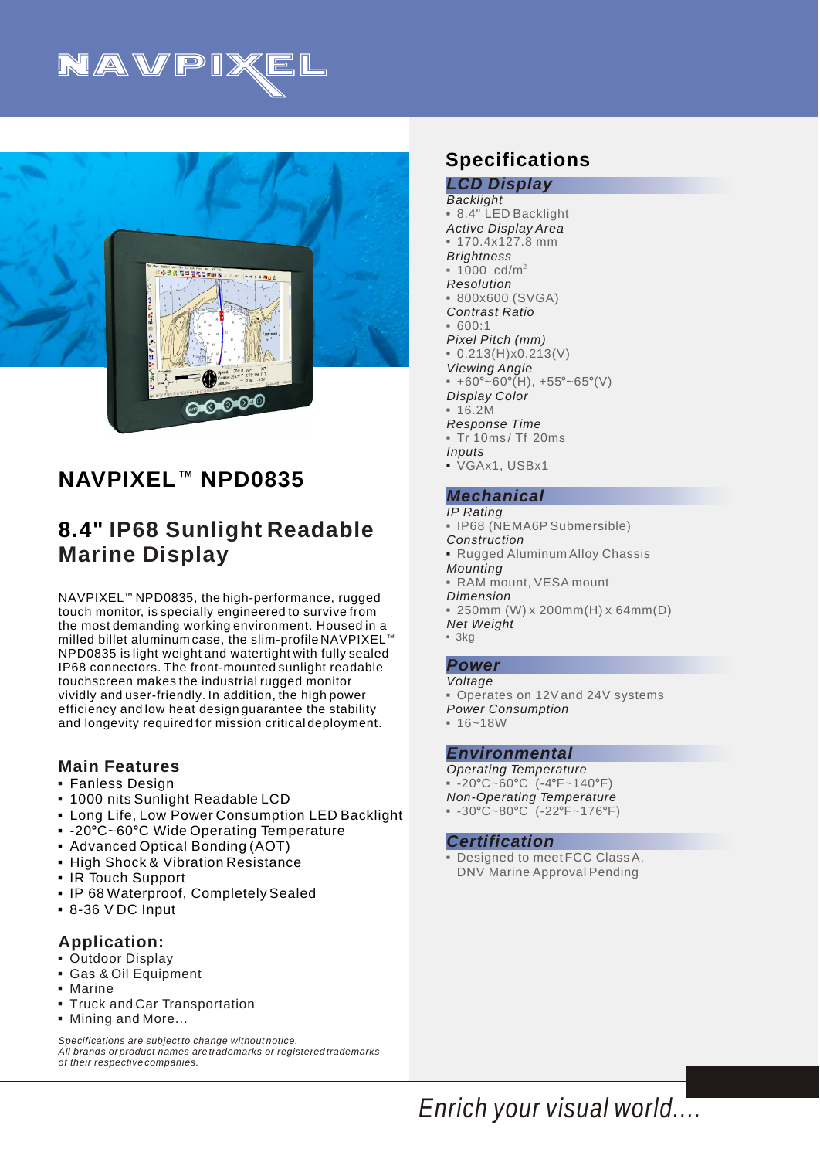



# **NAVPIXEL<sup>™</sup> NPD0835**

# **8.4" IP68 Sunlight Readable Marine Display**

NAVPIXEL<sup>™</sup> NPD0835, the high-performance, rugged touch monitor, is specially engineered to survive from the most demanding working environment. Housed in a milled billet aluminum case, the slim-profile NAVPIXEL $^{\scriptscriptstyle\rm I\hspace{-1pt}I\hspace{-1pt}I}$ NPD0835 is light weight and watertight with fully sealed IP68 connectors. The front-mounted sunlight readable touchscreen makes the industrial rugged monitor vividly and user-friendly. In addition, the high power efficiency and low heat design guarantee the stability and longevity required for mission critical deployment.

### **Main Features**

- Fanless Design 3
- 1000 nits Sunlight Readable LCD 3
- **Long Life, Low Power Consumption LED Backlight**
- -20°C~60°C Wide Operating Temperature
- Advanced Optical Bonding (AOT)
- High Shock & Vibration Resistance
- IR Touch Support
- 3 IP 68 Waterproof, Completely Sealed
- $-8-36$  V DC Input

### **Application:**

- **Outdoor Display**
- 3Gas & Oil Equipment
- 3Marine
- **Truck and Car Transportation**
- 3Mining and More...

*Specifications are subject to change without notice. All brands or product names are trademarks or registered trademarks of their respective companies.*

# **Specifications**

#### *LCD Display Backlight Active Display Area Brightness Resolution Contrast Ratio Pixel Pitch (mm) Viewing Angle Display Color Response Time Inputs* 3 VGAx1, USBx1 3 8.4" LED Backlight  $= 170.4x127.8$  mm 2 1000 cd/m 3 3 800x600 (SVGA)  $-600:1$  $= 0.213(H)x0.213(V)$  $+60^{\circ}$ ~60°(H), +55°~65°(V)  $-16.2M$ 3 Tr 10ms / Tf 20ms

### *Mechanical*

*IP Rating Construction* 3 Rugged Aluminum Alloy Chassis *Mounting Dimension Net Weight* 3IP68 (NEMA6P Submersible) 3RAM mount, VESA mount 3 250mm (W) x 200mm(H) x 64mm(D)  $-3kq$ 

#### *Power Voltage*

*Power Consumption* • Operates on 12V and 24V systems  $-16 - 18W$ 

#### *Environmental*

*Operating Temperature Non-Operating Temperature*  $-20^{\circ}$ C~60°C (-4°F~140°F)  $-30^{\circ}$ C~80°C (-22°F~176°F)

#### *Certification*

3Designed to meet FCC Class A, DNV Marine Approval Pending

*Enrich your visual world....*